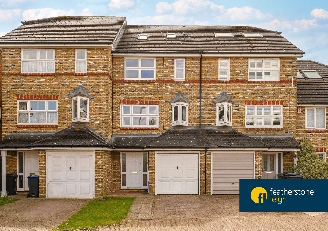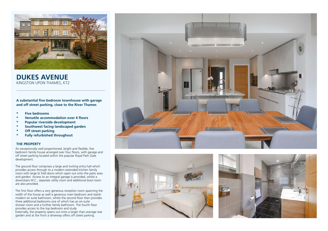

**DUKES AVENUE** KINGSTON UPON THAMES, KT2

**A substantial five bedroom townhouse with garage and off street parking, close to the River Thames**

- **\* Five bedrooms**
- **\* Versatile accommodation over 4 floors**
- **\* Popular riverside development**
- **\* Southwest facing landscaped garden**
- **\* Off street parking**
- **\* Fully refurbished throughout**

## **THE PROPERTY**

An exceptionally well proportioned, bright and flexible, five bedroom family house arranged over four floors, with garage and off street parking located within the popular Royal Park Gate development.

The ground floor comprises a large and inviting entry hall which provides access through to a modern extended kitchen family room with large bi fold doors which open out onto the patio area and garden. Access to an integral garage is provided, whilst a downstairs W.C., separate utility room and additional boot room are also provided.

The first floor offers a very generous reception room spanning the width of the house as well a generous main bedroom and stylish mather the hease as them a generous mann search and stylent modern en suite bathroom, whilst the second floor then provides three additional bedrooms one of which has an en-suite shower room and a further family bathroom. The fourth floor provides access to the top bedroom and study. Externally, the property opens out onto a larger than average rear garden and at the front a driveway offers off street parking.





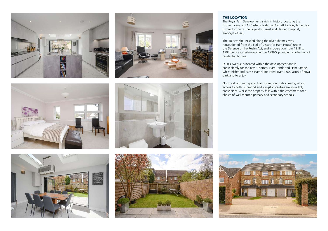







## **THE LOCATION**

The Royal Park Development is rich in history, boasting the former home of BAE Systems National Aircraft Factory, famed for its production of the Sopwith Camel and Harrier Jump Jet, amongst others.

The 38 acre site, nestled along the River Thames, was requisitioned from the Earl of Dysart (of Ham House) under the Defence of the Realm Act, and in operation from 1918 to 1992 before its redevelopment in 1996/7 providing a collection of residential homes.

Dukes Avenue is located within the development and is conveniently for the River Thames, Ham Lands and Ham Parade, whilst Richmond Park's Ham Gate offers over 2,500 acres of Royal parkland to enjoy.

Not short of green space, Ham Common is also nearby, whilst access to both Richmond and Kingston centres are incredibly convenient, whilst the property falls within the catchment for a choice of well reputed primary and secondary schools.